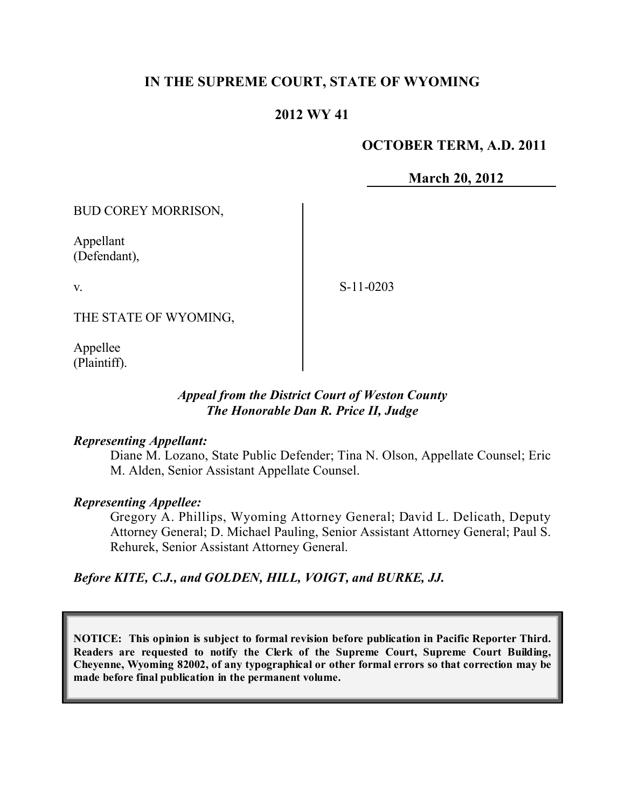# **IN THE SUPREME COURT, STATE OF WYOMING**

## **2012 WY 41**

## **OCTOBER TERM, A.D. 2011**

**March 20, 2012**

BUD COREY MORRISON,

Appellant (Defendant),

v.

S-11-0203

THE STATE OF WYOMING,

Appellee (Plaintiff).

## *Appeal from the District Court of Weston County The Honorable Dan R. Price II, Judge*

#### *Representing Appellant:*

Diane M. Lozano, State Public Defender; Tina N. Olson, Appellate Counsel; Eric M. Alden, Senior Assistant Appellate Counsel.

## *Representing Appellee:*

Gregory A. Phillips, Wyoming Attorney General; David L. Delicath, Deputy Attorney General; D. Michael Pauling, Senior Assistant Attorney General; Paul S. Rehurek, Senior Assistant Attorney General.

*Before KITE, C.J., and GOLDEN, HILL, VOIGT, and BURKE, JJ.*

**NOTICE: This opinion is subject to formal revision before publication in Pacific Reporter Third. Readers are requested to notify the Clerk of the Supreme Court, Supreme Court Building, Cheyenne, Wyoming 82002, of any typographical or other formal errors so that correction may be made before final publication in the permanent volume.**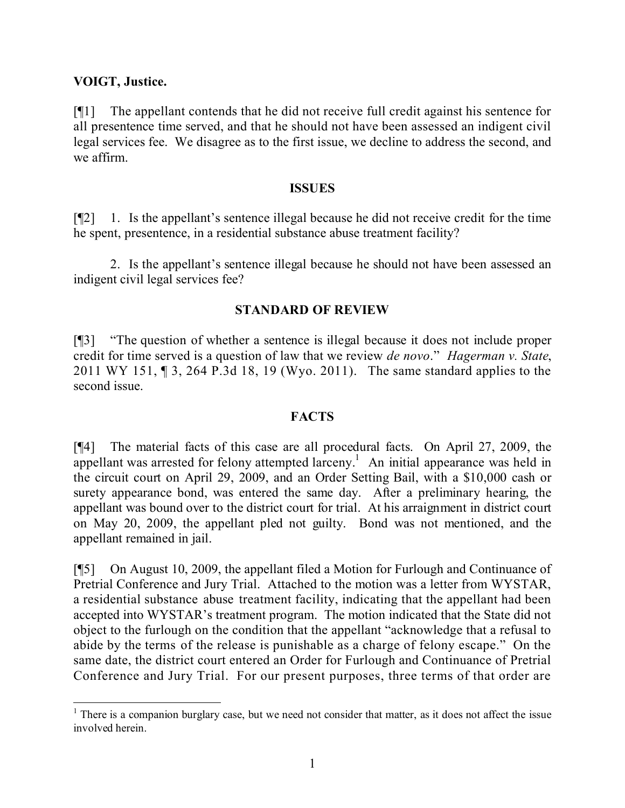### **VOIGT, Justice.**

[¶1] The appellant contends that he did not receive full credit against his sentence for all presentence time served, and that he should not have been assessed an indigent civil legal services fee. We disagree as to the first issue, we decline to address the second, and we affirm.

#### **ISSUES**

[¶2] 1. Is the appellant's sentence illegal because he did not receive credit for the time he spent, presentence, in a residential substance abuse treatment facility?

2. Is the appellant's sentence illegal because he should not have been assessed an indigent civil legal services fee?

### **STANDARD OF REVIEW**

[¶3] "The question of whether a sentence is illegal because it does not include proper credit for time served is a question of law that we review *de novo*." *Hagerman v. State*, 2011 WY 151, ¶ 3, 264 P.3d 18, 19 (Wyo. 2011). The same standard applies to the second issue.

## **FACTS**

[¶4] The material facts of this case are all procedural facts. On April 27, 2009, the appellant was arrested for felony attempted larceny.<sup>1</sup> An initial appearance was held in the circuit court on April 29, 2009, and an Order Setting Bail, with a \$10,000 cash or surety appearance bond, was entered the same day. After a preliminary hearing, the appellant was bound over to the district court for trial. At his arraignment in district court on May 20, 2009, the appellant pled not guilty. Bond was not mentioned, and the appellant remained in jail.

[¶5] On August 10, 2009, the appellant filed a Motion for Furlough and Continuance of Pretrial Conference and Jury Trial. Attached to the motion was a letter from WYSTAR, a residential substance abuse treatment facility, indicating that the appellant had been accepted into WYSTAR's treatment program. The motion indicated that the State did not object to the furlough on the condition that the appellant "acknowledge that a refusal to abide by the terms of the release is punishable as a charge of felony escape." On the same date, the district court entered an Order for Furlough and Continuance of Pretrial Conference and Jury Trial. For our present purposes, three terms of that order are

 $1$  There is a companion burglary case, but we need not consider that matter, as it does not affect the issue involved herein.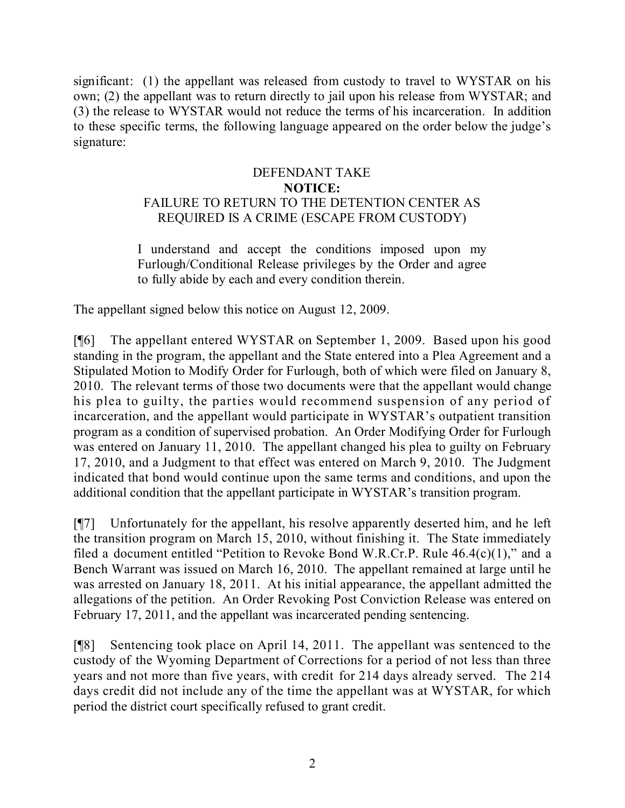significant: (1) the appellant was released from custody to travel to WYSTAR on his own; (2) the appellant was to return directly to jail upon his release from WYSTAR; and (3) the release to WYSTAR would not reduce the terms of his incarceration. In addition to these specific terms, the following language appeared on the order below the judge's signature:

## DEFENDANT TAKE **NOTICE:** FAILURE TO RETURN TO THE DETENTION CENTER AS REQUIRED IS A CRIME (ESCAPE FROM CUSTODY)

I understand and accept the conditions imposed upon my Furlough/Conditional Release privileges by the Order and agree to fully abide by each and every condition therein.

The appellant signed below this notice on August 12, 2009.

[¶6] The appellant entered WYSTAR on September 1, 2009. Based upon his good standing in the program, the appellant and the State entered into a Plea Agreement and a Stipulated Motion to Modify Order for Furlough, both of which were filed on January 8, 2010. The relevant terms of those two documents were that the appellant would change his plea to guilty, the parties would recommend suspension of any period of incarceration, and the appellant would participate in WYSTAR's outpatient transition program as a condition of supervised probation. An Order Modifying Order for Furlough was entered on January 11, 2010. The appellant changed his plea to guilty on February 17, 2010, and a Judgment to that effect was entered on March 9, 2010. The Judgment indicated that bond would continue upon the same terms and conditions, and upon the additional condition that the appellant participate in WYSTAR's transition program.

[¶7] Unfortunately for the appellant, his resolve apparently deserted him, and he left the transition program on March 15, 2010, without finishing it. The State immediately filed a document entitled "Petition to Revoke Bond W.R.Cr.P. Rule 46.4(c)(1)," and a Bench Warrant was issued on March 16, 2010. The appellant remained at large until he was arrested on January 18, 2011. At his initial appearance, the appellant admitted the allegations of the petition. An Order Revoking Post Conviction Release was entered on February 17, 2011, and the appellant was incarcerated pending sentencing.

[¶8] Sentencing took place on April 14, 2011. The appellant was sentenced to the custody of the Wyoming Department of Corrections for a period of not less than three years and not more than five years, with credit for 214 days already served. The 214 days credit did not include any of the time the appellant was at WYSTAR, for which period the district court specifically refused to grant credit.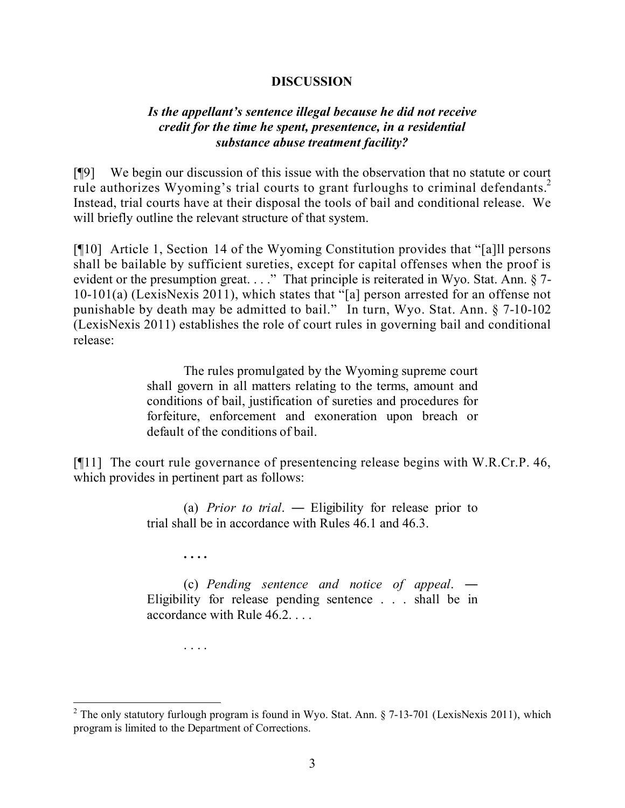#### **DISCUSSION**

#### *Is the appellant's sentence illegal because he did not receive credit for the time he spent, presentence, in a residential substance abuse treatment facility?*

[¶9] We begin our discussion of this issue with the observation that no statute or court rule authorizes Wyoming's trial courts to grant furloughs to criminal defendants.<sup>2</sup> Instead, trial courts have at their disposal the tools of bail and conditional release. We will briefly outline the relevant structure of that system.

[¶10] Article 1, Section 14 of the Wyoming Constitution provides that "[a]ll persons shall be bailable by sufficient sureties, except for capital offenses when the proof is evident or the presumption great. . . ." That principle is reiterated in Wyo. Stat. Ann. § 7-10-101(a) (LexisNexis 2011), which states that "[a] person arrested for an offense not punishable by death may be admitted to bail." In turn, Wyo. Stat. Ann. § 7-10-102 (LexisNexis 2011) establishes the role of court rules in governing bail and conditional release:

> The rules promulgated by the Wyoming supreme court shall govern in all matters relating to the terms, amount and conditions of bail, justification of sureties and procedures for forfeiture, enforcement and exoneration upon breach or default of the conditions of bail.

[¶11] The court rule governance of presentencing release begins with W.R.Cr.P. 46, which provides in pertinent part as follows:

> (a) *Prior to trial*. ― Eligibility for release prior to trial shall be in accordance with Rules 46.1 and 46.3.

> > **. . . .**

(c) *Pending sentence and notice of appeal*. ― Eligibility for release pending sentence . . . shall be in accordance with Rule 46.2. . . .

. . . .

<sup>&</sup>lt;sup>2</sup> The only statutory furlough program is found in Wyo. Stat. Ann. § 7-13-701 (LexisNexis 2011), which program is limited to the Department of Corrections.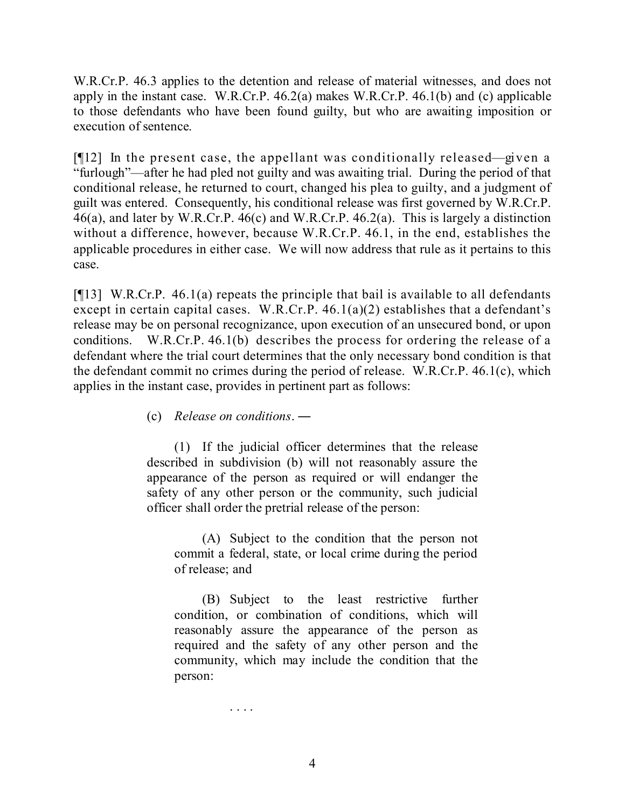W.R.Cr.P. 46.3 applies to the detention and release of material witnesses, and does not apply in the instant case. W.R.Cr.P. 46.2(a) makes W.R.Cr.P. 46.1(b) and (c) applicable to those defendants who have been found guilty, but who are awaiting imposition or execution of sentence.

[¶12] In the present case, the appellant was conditionally released—given a "furlough"—after he had pled not guilty and was awaiting trial. During the period of that conditional release, he returned to court, changed his plea to guilty, and a judgment of guilt was entered. Consequently, his conditional release was first governed by W.R.Cr.P. 46(a), and later by W.R.Cr.P. 46(c) and W.R.Cr.P. 46.2(a). This is largely a distinction without a difference, however, because W.R.Cr.P. 46.1, in the end, establishes the applicable procedures in either case. We will now address that rule as it pertains to this case.

[ $[13]$  W.R.Cr.P. 46.1(a) repeats the principle that bail is available to all defendants except in certain capital cases. W.R.Cr.P. 46.1(a)(2) establishes that a defendant's release may be on personal recognizance, upon execution of an unsecured bond, or upon conditions. W.R.Cr.P. 46.1(b) describes the process for ordering the release of a defendant where the trial court determines that the only necessary bond condition is that the defendant commit no crimes during the period of release. W.R.Cr.P. 46.1(c), which applies in the instant case, provides in pertinent part as follows:

(c) *Release on conditions*. ―

. . . .

(1) If the judicial officer determines that the release described in subdivision (b) will not reasonably assure the appearance of the person as required or will endanger the safety of any other person or the community, such judicial officer shall order the pretrial release of the person:

(A) Subject to the condition that the person not commit a federal, state, or local crime during the period of release; and

(B) Subject to the least restrictive further condition, or combination of conditions, which will reasonably assure the appearance of the person as required and the safety of any other person and the community, which may include the condition that the person:

4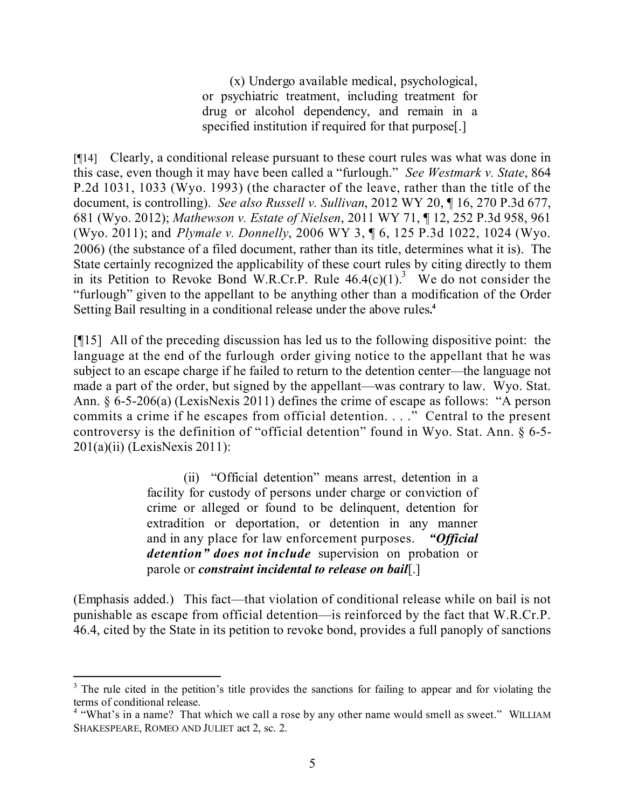(x) Undergo available medical, psychological, or psychiatric treatment, including treatment for drug or alcohol dependency, and remain in a specified institution if required for that purpose[.]

[¶14] Clearly, a conditional release pursuant to these court rules was what was done in this case, even though it may have been called a "furlough." *See Westmark v. State*, 864 P.2d 1031, 1033 (Wyo. 1993) (the character of the leave, rather than the title of the document, is controlling). *See also Russell v. Sullivan*, 2012 WY 20, ¶ 16, 270 P.3d 677, 681 (Wyo. 2012); *Mathewson v. Estate of Nielsen*, 2011 WY 71, ¶ 12, 252 P.3d 958, 961 (Wyo. 2011); and *Plymale v. Donnelly*, 2006 WY 3, ¶ 6, 125 P.3d 1022, 1024 (Wyo. 2006) (the substance of a filed document, rather than its title, determines what it is). The State certainly recognized the applicability of these court rules by citing directly to them in its Petition to Revoke Bond W.R.Cr.P. Rule  $46.4(c)(1)^3$  We do not consider the "furlough" given to the appellant to be anything other than a modification of the Order Setting Bail resulting in a conditional release under the above rules**. 4**

[¶15] All of the preceding discussion has led us to the following dispositive point: the language at the end of the furlough order giving notice to the appellant that he was subject to an escape charge if he failed to return to the detention center—the language not made a part of the order, but signed by the appellant—was contrary to law. Wyo. Stat. Ann. § 6-5-206(a) (LexisNexis 2011) defines the crime of escape as follows: "A person commits a crime if he escapes from official detention. . . ." Central to the present controversy is the definition of "official detention" found in Wyo. Stat. Ann. § 6-5- 201(a)(ii) (LexisNexis 2011):

> (ii) "Official detention" means arrest, detention in a facility for custody of persons under charge or conviction of crime or alleged or found to be delinquent, detention for extradition or deportation, or detention in any manner and in any place for law enforcement purposes. *"Official detention" does not include* supervision on probation or parole or *constraint incidental to release on bail*[.]

(Emphasis added.) This fact—that violation of conditional release while on bail is not punishable as escape from official detention—is reinforced by the fact that W.R.Cr.P. 46.4, cited by the State in its petition to revoke bond, provides a full panoply of sanctions

<sup>&</sup>lt;sup>3</sup> The rule cited in the petition's title provides the sanctions for failing to appear and for violating the terms of conditional release.

<sup>&</sup>lt;sup>4</sup> "What's in a name? That which we call a rose by any other name would smell as sweet." WILLIAM SHAKESPEARE, ROMEO AND JULIET act 2, sc. 2.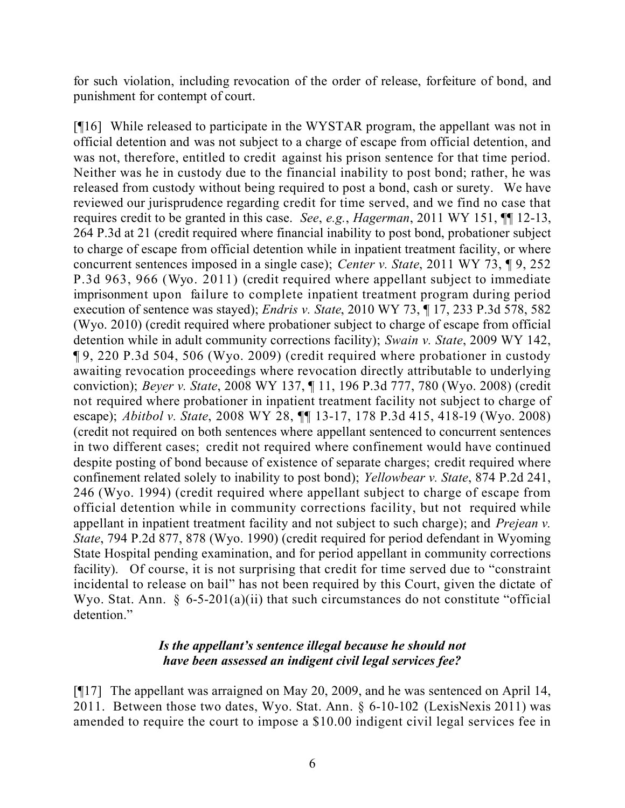for such violation, including revocation of the order of release, forfeiture of bond, and punishment for contempt of court.

[¶16] While released to participate in the WYSTAR program, the appellant was not in official detention and was not subject to a charge of escape from official detention, and was not, therefore, entitled to credit against his prison sentence for that time period. Neither was he in custody due to the financial inability to post bond; rather, he was released from custody without being required to post a bond, cash or surety. We have reviewed our jurisprudence regarding credit for time served, and we find no case that requires credit to be granted in this case. *See*, *e.g.*, *Hagerman*, 2011 WY 151, ¶¶ 12-13, 264 P.3d at 21 (credit required where financial inability to post bond, probationer subject to charge of escape from official detention while in inpatient treatment facility, or where concurrent sentences imposed in a single case); *Center v. State*, 2011 WY 73, ¶ 9, 252 P.3d 963, 966 (Wyo. 2011) (credit required where appellant subject to immediate imprisonment upon failure to complete inpatient treatment program during period execution of sentence was stayed); *Endris v. State*, 2010 WY 73, ¶ 17, 233 P.3d 578, 582 (Wyo. 2010) (credit required where probationer subject to charge of escape from official detention while in adult community corrections facility); *Swain v. State*, 2009 WY 142, ¶ 9, 220 P.3d 504, 506 (Wyo. 2009) (credit required where probationer in custody awaiting revocation proceedings where revocation directly attributable to underlying conviction); *Beyer v. State*, 2008 WY 137, ¶ 11, 196 P.3d 777, 780 (Wyo. 2008) (credit not required where probationer in inpatient treatment facility not subject to charge of escape); *Abitbol v. State*, 2008 WY 28, ¶¶ 13-17, 178 P.3d 415, 418-19 (Wyo. 2008) (credit not required on both sentences where appellant sentenced to concurrent sentences in two different cases; credit not required where confinement would have continued despite posting of bond because of existence of separate charges; credit required where confinement related solely to inability to post bond); *Yellowbear v. State*, 874 P.2d 241, 246 (Wyo. 1994) (credit required where appellant subject to charge of escape from official detention while in community corrections facility, but not required while appellant in inpatient treatment facility and not subject to such charge); and *Prejean v. State*, 794 P.2d 877, 878 (Wyo. 1990) (credit required for period defendant in Wyoming State Hospital pending examination, and for period appellant in community corrections facility). Of course, it is not surprising that credit for time served due to "constraint incidental to release on bail" has not been required by this Court, given the dictate of Wyo. Stat. Ann.  $\frac{6}{5}$ -5-201(a)(ii) that such circumstances do not constitute "official detention."

### *Is the appellant's sentence illegal because he should not have been assessed an indigent civil legal services fee?*

[¶17] The appellant was arraigned on May 20, 2009, and he was sentenced on April 14, 2011. Between those two dates, Wyo. Stat. Ann. § 6-10-102 (LexisNexis 2011) was amended to require the court to impose a \$10.00 indigent civil legal services fee in